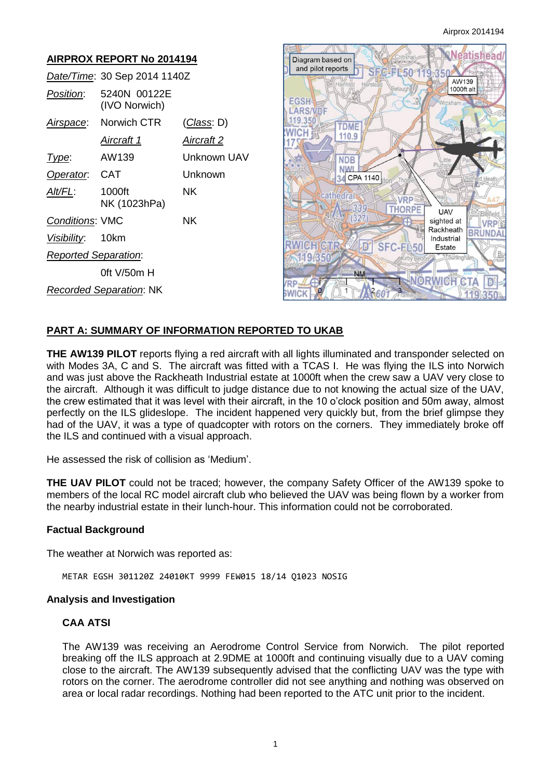| <b>AIRPROX REPORT No 2014194</b> |                               |                    |  |
|----------------------------------|-------------------------------|--------------------|--|
|                                  | Date/Time: 30 Sep 2014 1140Z  |                    |  |
| Position:                        | 5240N 00122E<br>(IVO Norwich) |                    |  |
|                                  | Airspace: Norwich CTR         | <u>(Class</u> : D) |  |
|                                  | <u>Aircraft 1</u>             | <u>Aircraft 2</u>  |  |
| Type:                            | AW139                         | Unknown UAV        |  |
| Operator. CAT                    |                               | Unknown            |  |
| Alt/FL:                          | 1000ft<br>NK (1023hPa)        | ΝK                 |  |
| <b>Conditions: VMC</b>           |                               | NK.                |  |
| Visibility: 10km                 |                               |                    |  |
| <b>Reported Separation:</b>      |                               |                    |  |
|                                  | 0ft $V/50m$ H                 |                    |  |
| <b>Recorded Separation: NK</b>   |                               |                    |  |



# **PART A: SUMMARY OF INFORMATION REPORTED TO UKAB**

**THE AW139 PILOT** reports flying a red aircraft with all lights illuminated and transponder selected on with Modes 3A, C and S. The aircraft was fitted with a TCAS I. He was flying the ILS into Norwich and was just above the Rackheath Industrial estate at 1000ft when the crew saw a UAV very close to the aircraft. Although it was difficult to judge distance due to not knowing the actual size of the UAV, the crew estimated that it was level with their aircraft, in the 10 o'clock position and 50m away, almost perfectly on the ILS glideslope. The incident happened very quickly but, from the brief glimpse they had of the UAV, it was a type of quadcopter with rotors on the corners. They immediately broke off the ILS and continued with a visual approach.

He assessed the risk of collision as 'Medium'.

**THE UAV PILOT** could not be traced; however, the company Safety Officer of the AW139 spoke to members of the local RC model aircraft club who believed the UAV was being flown by a worker from the nearby industrial estate in their lunch-hour. This information could not be corroborated.

### **Factual Background**

The weather at Norwich was reported as:

METAR EGSH 301120Z 24010KT 9999 FEW015 18/14 Q1023 NOSIG

#### **Analysis and Investigation**

# **CAA ATSI**

The AW139 was receiving an Aerodrome Control Service from Norwich. The pilot reported breaking off the ILS approach at 2.9DME at 1000ft and continuing visually due to a UAV coming close to the aircraft. The AW139 subsequently advised that the conflicting UAV was the type with rotors on the corner. The aerodrome controller did not see anything and nothing was observed on area or local radar recordings. Nothing had been reported to the ATC unit prior to the incident.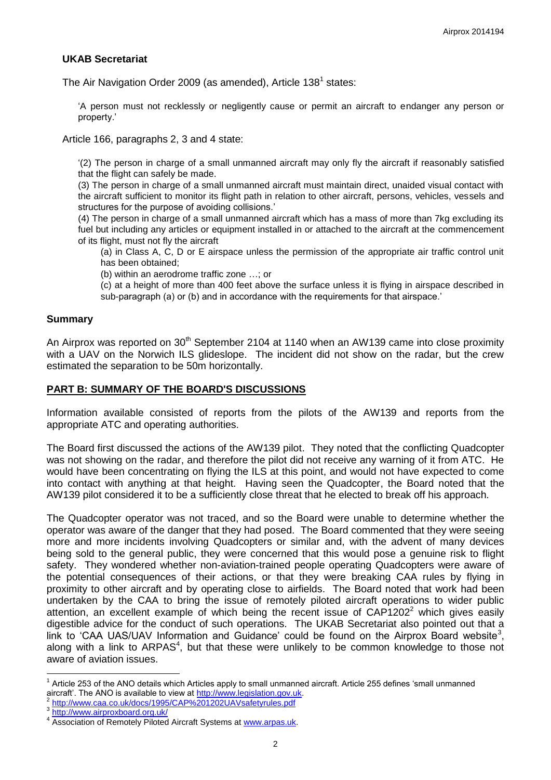## **UKAB Secretariat**

The Air Navigation Order 2009 (as amended), Article 138<sup>1</sup> states:

'A person must not recklessly or negligently cause or permit an aircraft to endanger any person or property.'

Article 166, paragraphs 2, 3 and 4 state:

'(2) The person in charge of a small unmanned aircraft may only fly the aircraft if reasonably satisfied that the flight can safely be made.

(3) The person in charge of a small unmanned aircraft must maintain direct, unaided visual contact with the aircraft sufficient to monitor its flight path in relation to other aircraft, persons, vehicles, vessels and structures for the purpose of avoiding collisions.'

(4) The person in charge of a small unmanned aircraft which has a mass of more than 7kg excluding its fuel but including any articles or equipment installed in or attached to the aircraft at the commencement of its flight, must not fly the aircraft

(a) in Class A, C, D or E airspace unless the permission of the appropriate air traffic control unit has been obtained;

(b) within an aerodrome traffic zone …; or

(c) at a height of more than 400 feet above the surface unless it is flying in airspace described in sub-paragraph (a) or (b) and in accordance with the requirements for that airspace.'

#### **Summary**

An Airprox was reported on 30<sup>th</sup> September 2104 at 1140 when an AW139 came into close proximity with a UAV on the Norwich ILS glideslope. The incident did not show on the radar, but the crew estimated the separation to be 50m horizontally.

#### **PART B: SUMMARY OF THE BOARD'S DISCUSSIONS**

Information available consisted of reports from the pilots of the AW139 and reports from the appropriate ATC and operating authorities.

The Board first discussed the actions of the AW139 pilot. They noted that the conflicting Quadcopter was not showing on the radar, and therefore the pilot did not receive any warning of it from ATC. He would have been concentrating on flying the ILS at this point, and would not have expected to come into contact with anything at that height. Having seen the Quadcopter, the Board noted that the AW139 pilot considered it to be a sufficiently close threat that he elected to break off his approach.

The Quadcopter operator was not traced, and so the Board were unable to determine whether the operator was aware of the danger that they had posed. The Board commented that they were seeing more and more incidents involving Quadcopters or similar and, with the advent of many devices being sold to the general public, they were concerned that this would pose a genuine risk to flight safety. They wondered whether non-aviation-trained people operating Quadcopters were aware of the potential consequences of their actions, or that they were breaking CAA rules by flying in proximity to other aircraft and by operating close to airfields. The Board noted that work had been undertaken by the CAA to bring the issue of remotely piloted aircraft operations to wider public attention, an excellent example of which being the recent issue of  $CAP1202<sup>2</sup>$  which gives easily digestible advice for the conduct of such operations. The UKAB Secretariat also pointed out that a link to 'CAA UAS/UAV Information and Guidance' could be found on the Airprox Board website<sup>3</sup>, along with a link to ARPAS<sup>4</sup>, but that these were unlikely to be common knowledge to those not aware of aviation issues.

 $\overline{\phantom{a}}$ 

<sup>1</sup> Article 253 of the ANO details which Articles apply to small unmanned aircraft. Article 255 defines 'small unmanned aircraft'. The ANO is available to view at [http://www.legislation.gov.uk.](http://www.legislation.gov.uk/)<br><sup>2</sup> http://www.ses.se.uk/dose/1995/CAP%201202LAV/ocfoturules.pdf

<http://www.caa.co.uk/docs/1995/CAP%201202UAVsafetyrules.pdf>

<sup>3</sup> <http://www.airproxboard.org.uk/>

<sup>4</sup> Association of Remotely Piloted Aircraft Systems at [www.arpas.uk.](http://www.arpas.uk/)